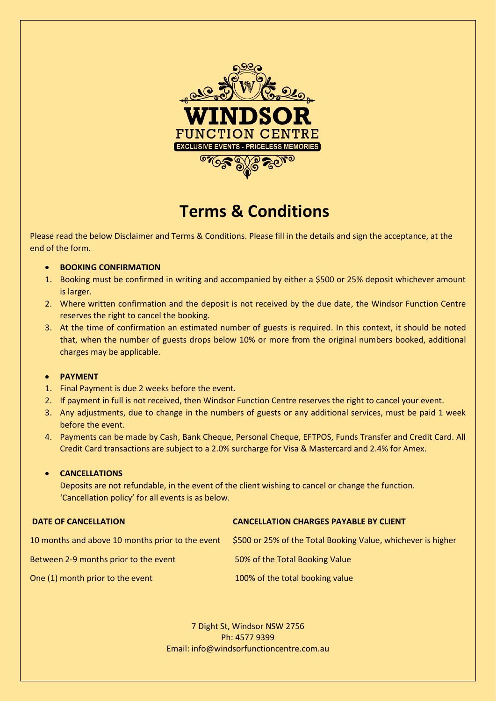

# **Terms & Conditions**

Please read the below Disclaimer and Terms & Conditions. Please fill in the details and sign the acceptance, at the end of the form.

- **BOOKING CONFIRMATION**
- 1. Booking must be confirmed in writing and accompanied by either a \$500 or 25% deposit whichever amount is larger.
- 2. Where written confirmation and the deposit is not received by the due date, the Windsor Function Centre reserves the right to cancel the booking.
- 3. At the time of confirmation an estimated number of guests is required. In this context, it should be noted that, when the number of guests drops below 10% or more from the original numbers booked, additional charges may be applicable.

## • **PAYMENT**

- 1. Final Payment is due 2 weeks before the event.
- 2. If payment in full is not received, then Windsor Function Centre reserves the right to cancel your event.
- 3. Any adjustments, due to change in the numbers of guests or any additional services, must be paid 1 week before the event.
- 4. Payments can be made by Cash, Bank Cheque, Personal Cheque, EFTPOS, Funds Transfer and Credit Card. All Credit Card transactions are subject to a 2.0% surcharge for Visa & Mastercard and 2.4% for Amex.

# • **CANCELLATIONS**

Deposits are not refundable, in the event of the client wishing to cancel or change the function. 'Cancellation policy' for all events is as below.

| <b>DATE OF CANCELLATION</b>                      | <b>CANCELLATION CHARGES PAYABLE BY CLIENT</b>                |
|--------------------------------------------------|--------------------------------------------------------------|
| 10 months and above 10 months prior to the event | \$500 or 25% of the Total Booking Value, whichever is higher |
| Between 2-9 months prior to the event            | 50% of the Total Booking Value                               |
| One (1) month prior to the event                 | 100% of the total booking value                              |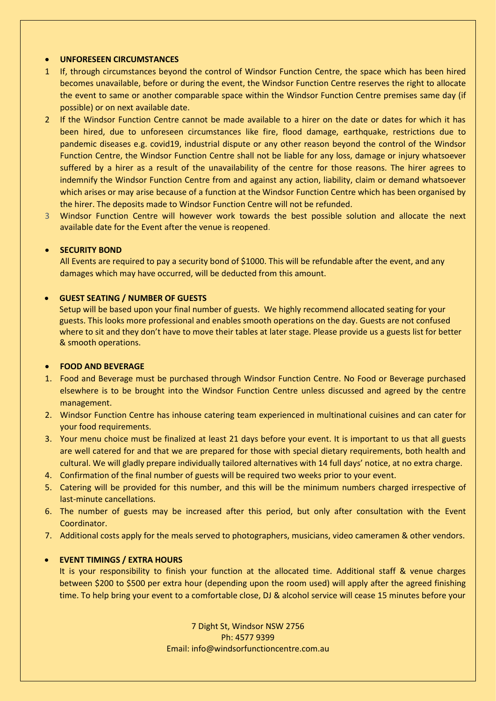#### • **UNFORESEEN CIRCUMSTANCES**

- 1 If, through circumstances beyond the control of Windsor Function Centre, the space which has been hired becomes unavailable, before or during the event, the Windsor Function Centre reserves the right to allocate the event to same or another comparable space within the Windsor Function Centre premises same day (if possible) or on next available date.
- 2 If the Windsor Function Centre cannot be made available to a hirer on the date or dates for which it has been hired, due to unforeseen circumstances like fire, flood damage, earthquake, restrictions due to pandemic diseases e.g. covid19, industrial dispute or any other reason beyond the control of the Windsor Function Centre, the Windsor Function Centre shall not be liable for any loss, damage or injury whatsoever suffered by a hirer as a result of the unavailability of the centre for those reasons. The hirer agrees to indemnify the Windsor Function Centre from and against any action, liability, claim or demand whatsoever which arises or may arise because of a function at the Windsor Function Centre which has been organised by the hirer. The deposits made to Windsor Function Centre will not be refunded.
- 3 Windsor Function Centre will however work towards the best possible solution and allocate the next available date for the Event after the venue is reopened.

#### • **SECURITY BOND**

All Events are required to pay a security bond of \$1000. This will be refundable after the event, and any damages which may have occurred, will be deducted from this amount.

# • **GUEST SEATING / NUMBER OF GUESTS**

Setup will be based upon your final number of guests. We highly recommend allocated seating for your guests. This looks more professional and enables smooth operations on the day. Guests are not confused where to sit and they don't have to move their tables at later stage. Please provide us a guests list for better & smooth operations.

#### • **FOOD AND BEVERAGE**

- 1. Food and Beverage must be purchased through Windsor Function Centre. No Food or Beverage purchased elsewhere is to be brought into the Windsor Function Centre unless discussed and agreed by the centre management.
- 2. Windsor Function Centre has inhouse catering team experienced in multinational cuisines and can cater for your food requirements.
- 3. Your menu choice must be finalized at least 21 days before your event. It is important to us that all guests are well catered for and that we are prepared for those with special dietary requirements, both health and cultural. We will gladly prepare individually tailored alternatives with 14 full days' notice, at no extra charge.
- 4. Confirmation of the final number of guests will be required two weeks prior to your event.
- 5. Catering will be provided for this number, and this will be the minimum numbers charged irrespective of last-minute cancellations.
- 6. The number of guests may be increased after this period, but only after consultation with the Event Coordinator.
- 7. Additional costs apply for the meals served to photographers, musicians, video cameramen & other vendors.

#### • **EVENT TIMINGS / EXTRA HOURS**

It is your responsibility to finish your function at the allocated time. Additional staff & venue charges between \$200 to \$500 per extra hour (depending upon the room used) will apply after the agreed finishing time. To help bring your event to a comfortable close, DJ & alcohol service will cease 15 minutes before your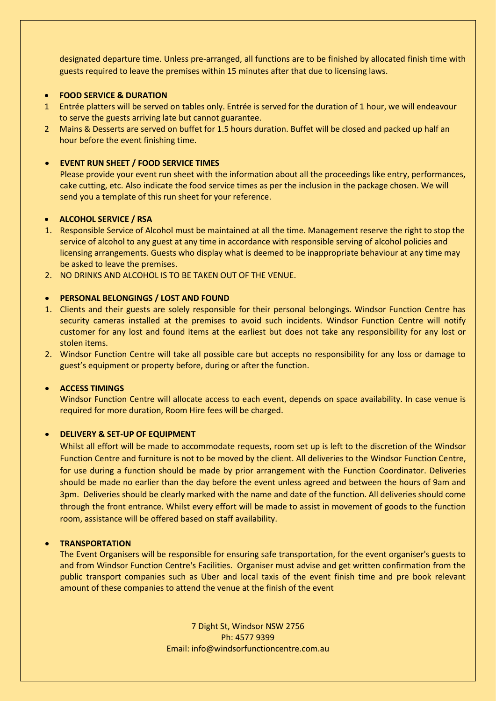designated departure time. Unless pre-arranged, all functions are to be finished by allocated finish time with guests required to leave the premises within 15 minutes after that due to licensing laws.

# • **FOOD SERVICE & DURATION**

- 1 Entrée platters will be served on tables only. Entrée is served for the duration of 1 hour, we will endeavour to serve the guests arriving late but cannot guarantee.
- 2 Mains & Desserts are served on buffet for 1.5 hours duration. Buffet will be closed and packed up half an hour before the event finishing time.

## • **EVENT RUN SHEET / FOOD SERVICE TIMES**

Please provide your event run sheet with the information about all the proceedings like entry, performances, cake cutting, etc. Also indicate the food service times as per the inclusion in the package chosen. We will send you a template of this run sheet for your reference.

#### • **ALCOHOL SERVICE / RSA**

- 1. Responsible Service of Alcohol must be maintained at all the time. Management reserve the right to stop the service of alcohol to any guest at any time in accordance with responsible serving of alcohol policies and licensing arrangements. Guests who display what is deemed to be inappropriate behaviour at any time may be asked to leave the premises.
- 2. NO DRINKS AND ALCOHOL IS TO BE TAKEN OUT OF THE VENUE.

#### • **PERSONAL BELONGINGS / LOST AND FOUND**

- 1. Clients and their guests are solely responsible for their personal belongings. Windsor Function Centre has security cameras installed at the premises to avoid such incidents. Windsor Function Centre will notify customer for any lost and found items at the earliest but does not take any responsibility for any lost or stolen items.
- 2. Windsor Function Centre will take all possible care but accepts no responsibility for any loss or damage to guest's equipment or property before, during or after the function.

#### • **ACCESS TIMINGS**

Windsor Function Centre will allocate access to each event, depends on space availability. In case venue is required for more duration, Room Hire fees will be charged.

#### • **DELIVERY & SET-UP OF EQUIPMENT**

Whilst all effort will be made to accommodate requests, room set up is left to the discretion of the Windsor Function Centre and furniture is not to be moved by the client. All deliveries to the Windsor Function Centre, for use during a function should be made by prior arrangement with the Function Coordinator. Deliveries should be made no earlier than the day before the event unless agreed and between the hours of 9am and 3pm. Deliveries should be clearly marked with the name and date of the function. All deliveries should come through the front entrance. Whilst every effort will be made to assist in movement of goods to the function room, assistance will be offered based on staff availability.

## • **TRANSPORTATION**

The Event Organisers will be responsible for ensuring safe transportation, for the event organiser's guests to and from Windsor Function Centre's Facilities. Organiser must advise and get written confirmation from the public transport companies such as Uber and local taxis of the event finish time and pre book relevant amount of these companies to attend the venue at the finish of the event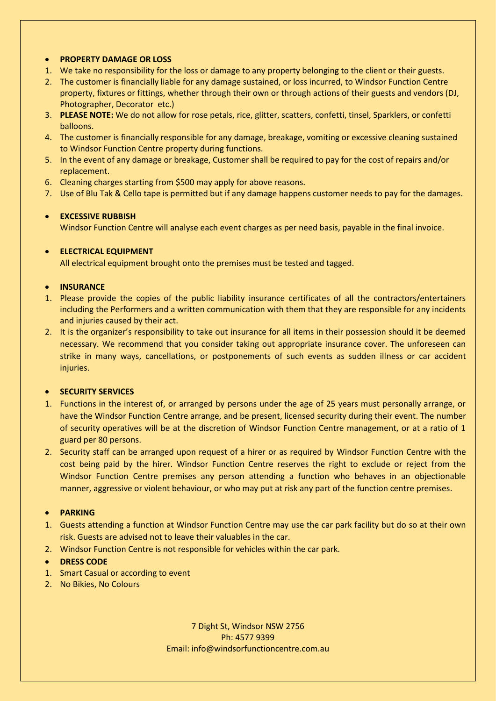# • **PROPERTY DAMAGE OR LOSS**

- 1. We take no responsibility for the loss or damage to any property belonging to the client or their guests.
- 2. The customer is financially liable for any damage sustained, or loss incurred, to Windsor Function Centre property, fixtures or fittings, whether through their own or through actions of their guests and vendors (DJ, Photographer, Decorator etc.)
- 3. **PLEASE NOTE:** We do not allow for rose petals, rice, glitter, scatters, confetti, tinsel, Sparklers, or confetti balloons.
- 4. The customer is financially responsible for any damage, breakage, vomiting or excessive cleaning sustained to Windsor Function Centre property during functions.
- 5. In the event of any damage or breakage, Customer shall be required to pay for the cost of repairs and/or replacement.
- 6. Cleaning charges starting from \$500 may apply for above reasons.
- 7. Use of Blu Tak & Cello tape is permitted but if any damage happens customer needs to pay for the damages.

# • **EXCESSIVE RUBBISH**

Windsor Function Centre will analyse each event charges as per need basis, payable in the final invoice.

# • **ELECTRICAL EQUIPMENT**

All electrical equipment brought onto the premises must be tested and tagged.

## • **INSURANCE**

- 1. Please provide the copies of the public liability insurance certificates of all the contractors/entertainers including the Performers and a written communication with them that they are responsible for any incidents and injuries caused by their act.
- 2. It is the organizer's responsibility to take out insurance for all items in their possession should it be deemed necessary. We recommend that you consider taking out appropriate insurance cover. The unforeseen can strike in many ways, cancellations, or postponements of such events as sudden illness or car accident injuries.

## • **SECURITY SERVICES**

- 1. Functions in the interest of, or arranged by persons under the age of 25 years must personally arrange, or have the Windsor Function Centre arrange, and be present, licensed security during their event. The number of security operatives will be at the discretion of Windsor Function Centre management, or at a ratio of 1 guard per 80 persons.
- 2. Security staff can be arranged upon request of a hirer or as required by Windsor Function Centre with the cost being paid by the hirer. Windsor Function Centre reserves the right to exclude or reject from the Windsor Function Centre premises any person attending a function who behaves in an objectionable manner, aggressive or violent behaviour, or who may put at risk any part of the function centre premises.

# • **PARKING**

- 1. Guests attending a function at Windsor Function Centre may use the car park facility but do so at their own risk. Guests are advised not to leave their valuables in the car.
- 2. Windsor Function Centre is not responsible for vehicles within the car park.

## • **DRESS CODE**

- 1. Smart Casual or according to event
- 2. No Bikies, No Colours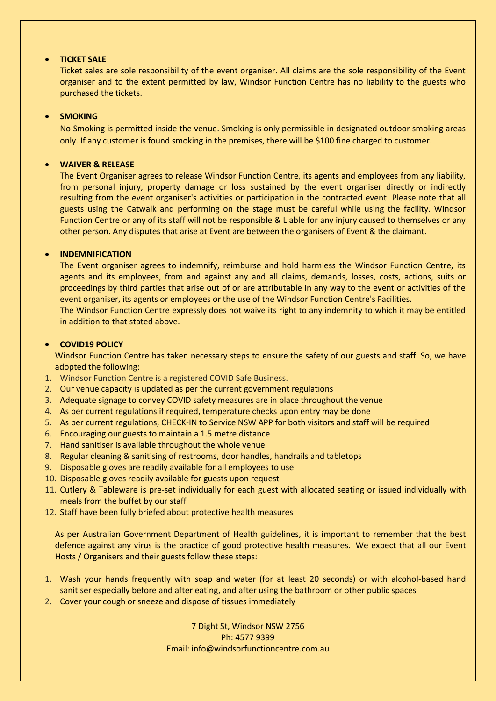## • **TICKET SALE**

Ticket sales are sole responsibility of the event organiser. All claims are the sole responsibility of the Event organiser and to the extent permitted by law, Windsor Function Centre has no liability to the guests who purchased the tickets.

# • **SMOKING**

No Smoking is permitted inside the venue. Smoking is only permissible in designated outdoor smoking areas only. If any customer is found smoking in the premises, there will be \$100 fine charged to customer.

# • **WAIVER & RELEASE**

The Event Organiser agrees to release Windsor Function Centre, its agents and employees from any liability, from personal injury, property damage or loss sustained by the event organiser directly or indirectly resulting from the event organiser's activities or participation in the contracted event. Please note that all guests using the Catwalk and performing on the stage must be careful while using the facility. Windsor Function Centre or any of its staff will not be responsible & Liable for any injury caused to themselves or any other person. Any disputes that arise at Event are between the organisers of Event & the claimant.

# • **INDEMNIFICATION**

The Event organiser agrees to indemnify, reimburse and hold harmless the Windsor Function Centre, its agents and its employees, from and against any and all claims, demands, losses, costs, actions, suits or proceedings by third parties that arise out of or are attributable in any way to the event or activities of the event organiser, its agents or employees or the use of the Windsor Function Centre's Facilities.

The Windsor Function Centre expressly does not waive its right to any indemnity to which it may be entitled in addition to that stated above.

# • **COVID19 POLICY**

Windsor Function Centre has taken necessary steps to ensure the safety of our guests and staff. So, we have adopted the following:

- 1. Windsor Function Centre is a registered COVID Safe Business.
- 2. Our venue capacity is updated as per the current government regulations
- 3. Adequate signage to convey COVID safety measures are in place throughout the venue
- 4. As per current regulations if required, temperature checks upon entry may be done
- 5. As per current regulations, CHECK-IN to Service NSW APP for both visitors and staff will be required
- 6. Encouraging our guests to maintain a 1.5 metre distance
- 7. Hand sanitiser is available throughout the whole venue
- 8. Regular cleaning & sanitising of restrooms, door handles, handrails and tabletops
- 9. Disposable gloves are readily available for all employees to use
- 10. Disposable gloves readily available for guests upon request
- 11. Cutlery & Tableware is pre-set individually for each guest with allocated seating or issued individually with meals from the buffet by our staff
- 12. Staff have been fully briefed about protective health measures

As per Australian Government Department of Health guidelines, it is important to remember that the best defence against any virus is the practice of good protective health measures. We expect that all our Event Hosts / Organisers and their guests follow these steps:

- 1. Wash your hands frequently with soap and water (for at least 20 seconds) or with alcohol-based hand sanitiser especially before and after eating, and after using the bathroom or other public spaces
- 2. Cover your cough or sneeze and dispose of tissues immediately